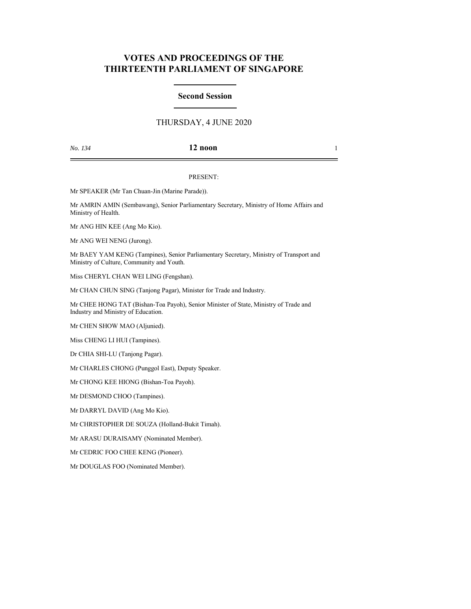# **VOTES AND PROCEEDINGS OF THE THIRTEENTH PARLIAMENT OF SINGAPORE**

#### **Second Session**

## THURSDAY, 4 JUNE 2020

#### *No. 134* **12 noon** 1

#### PRESENT:

Mr SPEAKER (Mr Tan Chuan-Jin (Marine Parade)).

Mr AMRIN AMIN (Sembawang), Senior Parliamentary Secretary, Ministry of Home Affairs and Ministry of Health.

Mr ANG HIN KEE (Ang Mo Kio).

Mr ANG WEI NENG (Jurong).

Mr BAEY YAM KENG (Tampines), Senior Parliamentary Secretary, Ministry of Transport and Ministry of Culture, Community and Youth.

Miss CHERYL CHAN WEI LING (Fengshan).

Mr CHAN CHUN SING (Tanjong Pagar), Minister for Trade and Industry.

Mr CHEE HONG TAT (Bishan-Toa Payoh), Senior Minister of State, Ministry of Trade and Industry and Ministry of Education.

Mr CHEN SHOW MAO (Aljunied).

Miss CHENG LI HUI (Tampines).

Dr CHIA SHI-LU (Tanjong Pagar).

Mr CHARLES CHONG (Punggol East), Deputy Speaker.

Mr CHONG KEE HIONG (Bishan-Toa Payoh).

Mr DESMOND CHOO (Tampines).

Mr DARRYL DAVID (Ang Mo Kio).

Mr CHRISTOPHER DE SOUZA (Holland-Bukit Timah).

Mr ARASU DURAISAMY (Nominated Member).

Mr CEDRIC FOO CHEE KENG (Pioneer).

Mr DOUGLAS FOO (Nominated Member).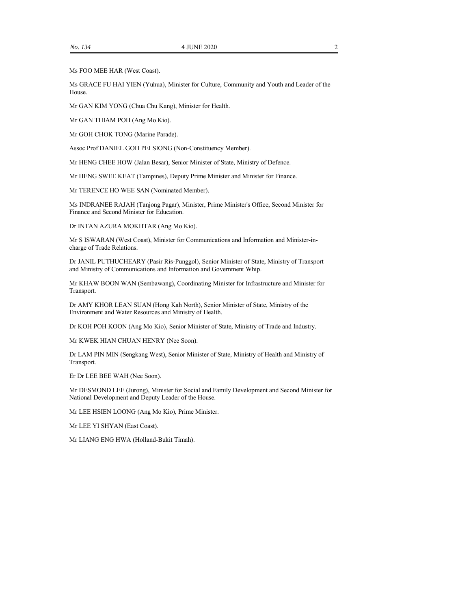Ms FOO MEE HAR (West Coast).

Ms GRACE FU HAI YIEN (Yuhua), Minister for Culture, Community and Youth and Leader of the House.

Mr GAN KIM YONG (Chua Chu Kang), Minister for Health.

Mr GAN THIAM POH (Ang Mo Kio).

Mr GOH CHOK TONG (Marine Parade).

Assoc Prof DANIEL GOH PEI SIONG (Non-Constituency Member).

Mr HENG CHEE HOW (Jalan Besar), Senior Minister of State, Ministry of Defence.

Mr HENG SWEE KEAT (Tampines), Deputy Prime Minister and Minister for Finance.

Mr TERENCE HO WEE SAN (Nominated Member).

Ms INDRANEE RAJAH (Tanjong Pagar), Minister, Prime Minister's Office, Second Minister for Finance and Second Minister for Education.

Dr INTAN AZURA MOKHTAR (Ang Mo Kio).

Mr S ISWARAN (West Coast), Minister for Communications and Information and Minister-incharge of Trade Relations.

Dr JANIL PUTHUCHEARY (Pasir Ris-Punggol), Senior Minister of State, Ministry of Transport and Ministry of Communications and Information and Government Whip.

Mr KHAW BOON WAN (Sembawang), Coordinating Minister for Infrastructure and Minister for Transport.

Dr AMY KHOR LEAN SUAN (Hong Kah North), Senior Minister of State, Ministry of the Environment and Water Resources and Ministry of Health.

Dr KOH POH KOON (Ang Mo Kio), Senior Minister of State, Ministry of Trade and Industry.

Mr KWEK HIAN CHUAN HENRY (Nee Soon).

Dr LAM PIN MIN (Sengkang West), Senior Minister of State, Ministry of Health and Ministry of Transport.

Er Dr LEE BEE WAH (Nee Soon).

Mr DESMOND LEE (Jurong), Minister for Social and Family Development and Second Minister for National Development and Deputy Leader of the House.

Mr LEE HSIEN LOONG (Ang Mo Kio), Prime Minister.

Mr LEE YI SHYAN (East Coast).

Mr LIANG ENG HWA (Holland-Bukit Timah).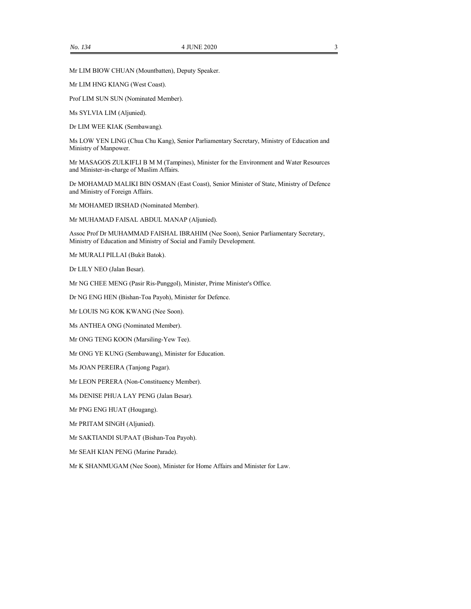Mr LIM BIOW CHUAN (Mountbatten), Deputy Speaker.

Mr LIM HNG KIANG (West Coast).

Prof LIM SUN SUN (Nominated Member).

Ms SYLVIA LIM (Aljunied).

Dr LIM WEE KIAK (Sembawang).

Ms LOW YEN LING (Chua Chu Kang), Senior Parliamentary Secretary, Ministry of Education and Ministry of Manpower.

Mr MASAGOS ZULKIFLI B M M (Tampines), Minister for the Environment and Water Resources and Minister-in-charge of Muslim Affairs.

Dr MOHAMAD MALIKI BIN OSMAN (East Coast), Senior Minister of State, Ministry of Defence and Ministry of Foreign Affairs.

Mr MOHAMED IRSHAD (Nominated Member).

Mr MUHAMAD FAISAL ABDUL MANAP (Aljunied).

Assoc Prof Dr MUHAMMAD FAISHAL IBRAHIM (Nee Soon), Senior Parliamentary Secretary, Ministry of Education and Ministry of Social and Family Development.

Mr MURALI PILLAI (Bukit Batok).

Dr LILY NEO (Jalan Besar).

Mr NG CHEE MENG (Pasir Ris-Punggol), Minister, Prime Minister's Office.

Dr NG ENG HEN (Bishan-Toa Payoh), Minister for Defence.

Mr LOUIS NG KOK KWANG (Nee Soon).

Ms ANTHEA ONG (Nominated Member).

Mr ONG TENG KOON (Marsiling-Yew Tee).

Mr ONG YE KUNG (Sembawang), Minister for Education.

Ms JOAN PEREIRA (Tanjong Pagar).

Mr LEON PERERA (Non-Constituency Member).

Ms DENISE PHUA LAY PENG (Jalan Besar).

Mr PNG ENG HUAT (Hougang).

Mr PRITAM SINGH (Aljunied).

Mr SAKTIANDI SUPAAT (Bishan-Toa Payoh).

Mr SEAH KIAN PENG (Marine Parade).

Mr K SHANMUGAM (Nee Soon), Minister for Home Affairs and Minister for Law.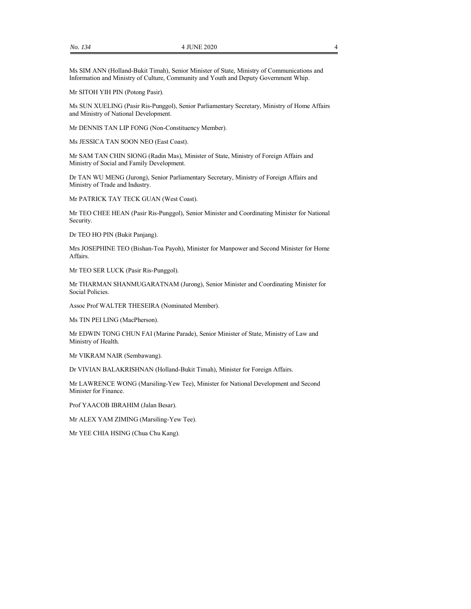Ms SIM ANN (Holland-Bukit Timah), Senior Minister of State, Ministry of Communications and Information and Ministry of Culture, Community and Youth and Deputy Government Whip.

Mr SITOH YIH PIN (Potong Pasir).

Ms SUN XUELING (Pasir Ris-Punggol), Senior Parliamentary Secretary, Ministry of Home Affairs and Ministry of National Development.

Mr DENNIS TAN LIP FONG (Non-Constituency Member).

Ms JESSICA TAN SOON NEO (East Coast).

Mr SAM TAN CHIN SIONG (Radin Mas), Minister of State, Ministry of Foreign Affairs and Ministry of Social and Family Development.

Dr TAN WU MENG (Jurong), Senior Parliamentary Secretary, Ministry of Foreign Affairs and Ministry of Trade and Industry.

Mr PATRICK TAY TECK GUAN (West Coast).

Mr TEO CHEE HEAN (Pasir Ris-Punggol), Senior Minister and Coordinating Minister for National Security.

Dr TEO HO PIN (Bukit Panjang).

Mrs JOSEPHINE TEO (Bishan-Toa Payoh), Minister for Manpower and Second Minister for Home Affairs.

Mr TEO SER LUCK (Pasir Ris-Punggol).

Mr THARMAN SHANMUGARATNAM (Jurong), Senior Minister and Coordinating Minister for Social Policies.

Assoc Prof WALTER THESEIRA (Nominated Member).

Ms TIN PEI LING (MacPherson).

Mr EDWIN TONG CHUN FAI (Marine Parade), Senior Minister of State, Ministry of Law and Ministry of Health.

Mr VIKRAM NAIR (Sembawang).

Dr VIVIAN BALAKRISHNAN (Holland-Bukit Timah), Minister for Foreign Affairs.

Mr LAWRENCE WONG (Marsiling-Yew Tee), Minister for National Development and Second Minister for Finance.

Prof YAACOB IBRAHIM (Jalan Besar).

Mr ALEX YAM ZIMING (Marsiling-Yew Tee).

Mr YEE CHIA HSING (Chua Chu Kang).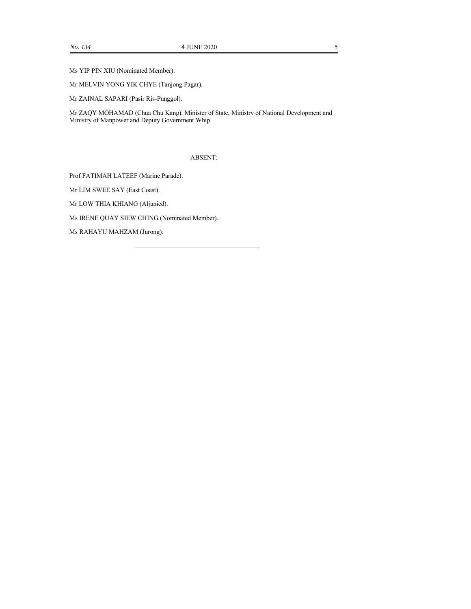Ms YIP PIN XIU (Nominated Member).

Mr MELVIN YONG YIK CHYE (Tanjong Pagar).

Mr ZAINAL SAPARI (Pasir Ris-Punggol).

Mr ZAQY MOHAMAD (Chua Chu Kang), Minister of State, Ministry of National Development and Ministry of Manpower and Deputy Government Whip.

ABSENT:

Prof FATIMAH LATEEF (Marine Parade).

Mr LIM SWEE SAY (East Coast).

Mr LOW THIA KHIANG (Aljunied).

Ms IRENE QUAY SIEW CHING (Nominated Member).

Ms RAHAYU MAHZAM (Jurong).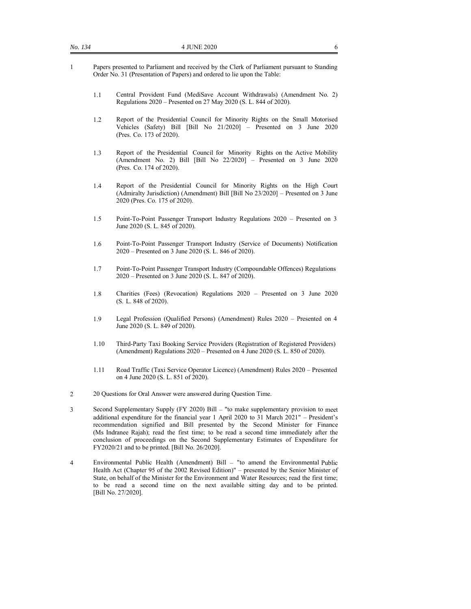- 1 Papers presented to Parliament and received by the Clerk of Parliament pursuant to Standing Order No. 31 (Presentation of Papers) and ordered to lie upon the Table:
	- 1.1 Central Provident Fund (MediSave Account Withdrawals) (Amendment No. 2) Regulations 2020 – Presented on 27 May 2020 (S. L. 844 of 2020).
	- 1.2 Report of the Presidential Council for Minority Rights on the Small Motorised Vehicles (Safety) Bill [Bill No 21/2020] – Presented on 3 June 2020 (Pres. Co. 173 of 2020).
	- 1.3 Report of the Presidential Council for Minority Rights on the Active Mobility (Amendment No. 2) Bill [Bill No 22/2020] – Presented on 3 June 2020 (Pres. Co. 174 of 2020).
	- 1.4 Report of the Presidential Council for Minority Rights on the High Court (Admiralty Jurisdiction) (Amendment) Bill [Bill No 23/2020] – Presented on 3 June 2020 (Pres. Co. 175 of 2020).
	- 1.5 Point-To-Point Passenger Transport Industry Regulations 2020 Presented on 3 June 2020 (S. L. 845 of 2020).
	- 1.6 Point-To-Point Passenger Transport Industry (Service of Documents) Notification 2020 – Presented on 3 June 2020 (S. L. 846 of 2020).
	- 1.7 Point-To-Point Passenger Transport Industry (Compoundable Offences) Regulations 2020 – Presented on 3 June 2020 (S. L. 847 of 2020).
	- 1.8 Charities (Fees) (Revocation) Regulations 2020 Presented on 3 June 2020 (S. L. 848 of 2020).
	- 1.9 Legal Profession (Qualified Persons) (Amendment) Rules 2020 Presented on 4 June 2020 (S. L. 849 of 2020).
	- 1.10 Third-Party Taxi Booking Service Providers (Registration of Registered Providers) (Amendment) Regulations 2020 – Presented on 4 June 2020 (S. L. 850 of 2020).
	- 1.11 Road Traffic (Taxi Service Operator Licence) (Amendment) Rules 2020 Presented on 4 June 2020 (S. L. 851 of 2020).
- 2 20 Questions for Oral Answer were answered during Question Time.
- 3 Second Supplementary Supply (FY 2020) Bill "to make supplementary provision to meet additional expenditure for the financial year 1 April 2020 to 31 March 2021" – President's recommendation signified and Bill presented by the Second Minister for Finance (Ms Indranee Rajah); read the first time; to be read a second time immediately after the conclusion of proceedings on the Second Supplementary Estimates of Expenditure for FY2020/21 and to be printed. [Bill No. 26/2020].
- 4 Environmental Public Health (Amendment) Bill "to amend the Environmental Public Health Act (Chapter 95 of the 2002 Revised Edition)" – presented by the Senior Minister of State, on behalf of the Minister for the Environment and Water Resources; read the first time; to be read a second time on the next available sitting day and to be printed. [Bill No. 27/2020].